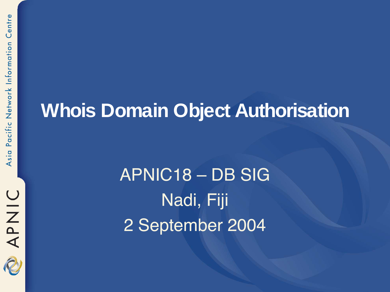

#### **Whois Domain Object Authorisation**

APNIC18 – DB SIG Nadi, Fiji 2 September 2004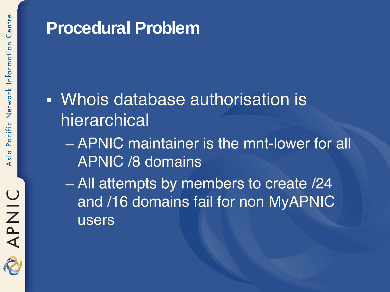#### **Procedural Problem**

#### • Whois database authorisation is hierarchical

– APNIC maintainer is the mnt-lower for all APNIC /8 domains

– All attempts by members to create /24 and **716 domains fail for non MyAPNIC** users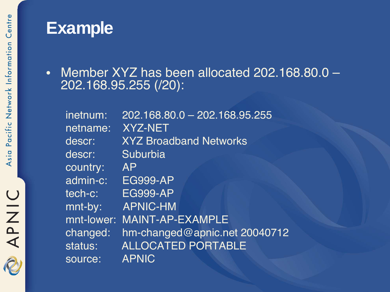#### **Example**

• Member XYZ has been allocated 202.168.80.0 -202.168.95.255 (/20):

| inetnum:   | 202.168.80.0 - 202.168.95.255 |
|------------|-------------------------------|
| netname:   | <b>XYZ-NET</b>                |
| descr:     | <b>XYZ Broadband Networks</b> |
| descr:     | Suburbia                      |
| country:   | <b>AP</b>                     |
| admin-c:   | <b>EG999-AP</b>               |
| tech-c:    | <b>EG999-AP</b>               |
| mnt-by:    | <b>APNIC-HM</b>               |
| mnt-lower: | <b>MAINT-AP-EXAMPLE</b>       |
| changed:   | hm-changed@apnic.net 20040712 |
| status:    | <b>ALLOCATED PORTABLE</b>     |
| source:    | <b>APNIC</b>                  |

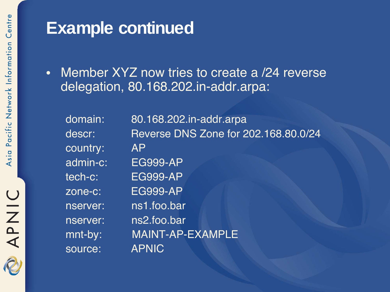#### **Example continued**

• Member XYZ now tries to create a /24 reverse delegation, 80.168.202.in-addr.arpa:

| domain:  | 80.168.202.in-addr.arpa              |
|----------|--------------------------------------|
| descr:   | Reverse DNS Zone for 202.168.80.0/24 |
| country: | <b>AP</b>                            |
| admin-c: | <b>EG999-AP</b>                      |
| tech-c:  | <b>EG999-AP</b>                      |
| zone-c:  | <b>EG999-AP</b>                      |
| nserver: | ns1.foo.bar                          |
| nserver: | ns2.foo.bar                          |
| mnt-by:  | <b>MAINT-AP-EXAMPLE</b>              |
| source:  | <b>APNIC</b>                         |
|          |                                      |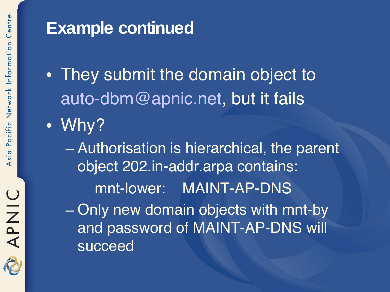#### **Example continued**

- They submit the domain object to auto-dbm@apnic.net, but it fails
- Why?
	- Authorisation is hierarchical, the parent object 202.in-addr.arpa contains: mnt-lower: MAINT-AP-DNS – Only new domain objects with mnt-by and password of MAINT-AP-DNS will succeed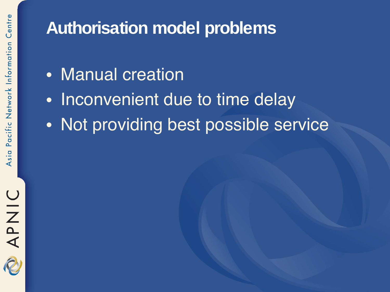

#### **Authorisation model problems**

- Manual creation
- Inconvenient due to time delay
- Not providing best possible service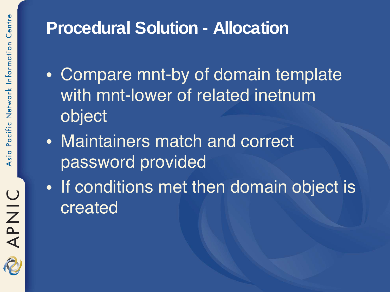### APNIC  $\partial$

#### **Procedural Solution - Allocation**

- Compare mnt-by of domain template with mnt-lower of related inetnum object
- Maintainers match and correct password provided
- If conditions met then domain object is created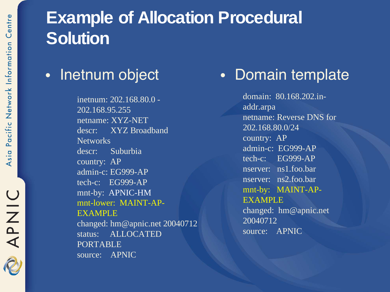#### **Example of Allocation Procedural Solution**

#### • Inetnum object

inetnum: 202.168.80.0 - 202.168.95.255 netname: XYZ-NET descr: XYZ Broadband **Networks** descr: Suburbia country: AP admin-c: EG999-AP tech-c: EG999-AP mnt-by: APNIC-HM mnt-lower: MAINT-AP-EXAMPLE changed: hm@apnic.net 20040712 status: ALLOCATED PORTABLE source: APNIC

#### • Domain template

domain: 80.168.202.inaddr.arpa netname: Reverse DNS for 202.168.80.0/24 country: AP admin-c: EG999-AP tech-c: EG999-AP nserver: ns1.foo.bar nserver: ns2.foo.bar mnt-by: MAINT-AP-EXAMPLE changed: hm@apnic.net 20040712 source: APNIC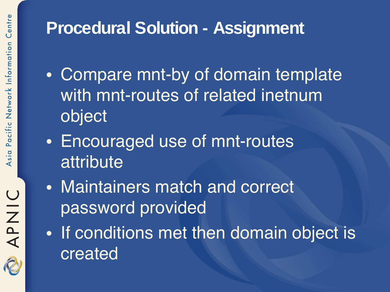#### **Procedural Solution - Assignment**

- Compare mnt-by of domain template with mnt-routes of related inetnum object
- Encouraged use of mnt-routes attribute
- Maintainers match and correct password provided
- If conditions met then domain object is created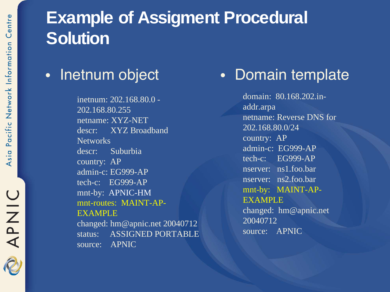#### **Example of Assigment Procedural Solution**

#### • Inetnum object

inetnum: 202.168.80.0 - 202.168.80.255 netname: XYZ-NET descr: XYZ Broadband **Networks** descr: Suburbia country: AP admin-c: EG999-AP tech-c: EG999-AP mnt-by: APNIC-HM mnt-routes: MAINT-AP-EXAMPLE changed: hm@apnic.net 20040712 status: ASSIGNED PORTABLE

source: APNIC

#### • Domain template

domain: 80.168.202.inaddr.arpa netname: Reverse DNS for 202.168.80.0/24 country: AP admin-c: EG999-AP tech-c: EG999-AP nserver: ns1.foo.bar nserver: ns2.foo.bar mnt-by: MAINT-AP-EXAMPLE changed: hm@apnic.net 20040712 source: APNIC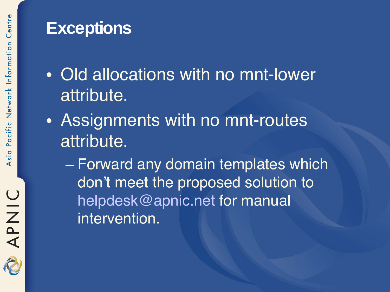#### **Exceptions**

- Old allocations with no mnt-lower attribute.
- Assignments with no mnt-routes attribute.
	- Forward any domain templates which don't meet the proposed solution to helpdesk@apnic.net for manual intervention.

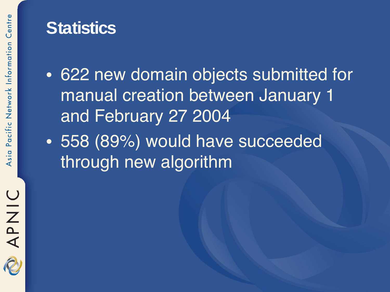2

#### **Statistics**

- 622 new domain objects submitted for manual creation between January 1 and February 27 2004
- 558 (89%) would have succeeded through new algorithm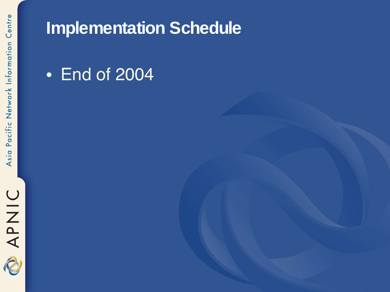

#### **Implementation Schedule**

#### • End of 2004